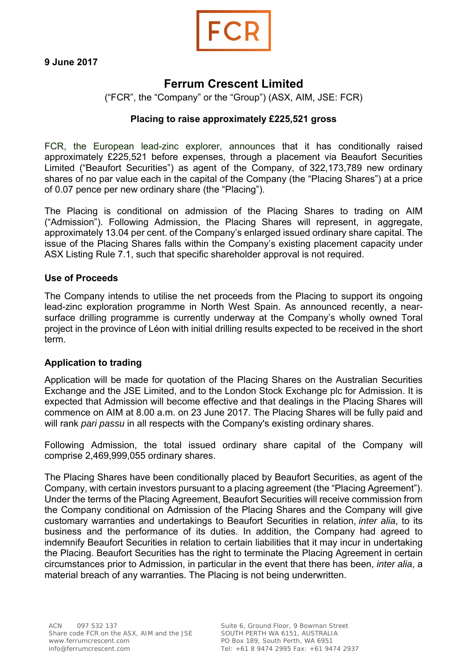

# **Ferrum Crescent Limited**

("FCR", the "Company" or the "Group") (ASX, AIM, JSE: FCR)

# **Placing to raise approximately £225,521 gross**

FCR, the European lead-zinc explorer, announces that it has conditionally raised approximately £225,521 before expenses, through a placement via Beaufort Securities Limited ("Beaufort Securities") as agent of the Company, of 322,173,789 new ordinary shares of no par value each in the capital of the Company (the "Placing Shares") at a price of 0.07 pence per new ordinary share (the "Placing").

The Placing is conditional on admission of the Placing Shares to trading on AIM ("Admission"). Following Admission, the Placing Shares will represent, in aggregate, approximately 13.04 per cent. of the Company's enlarged issued ordinary share capital. The issue of the Placing Shares falls within the Company's existing placement capacity under ASX Listing Rule 7.1, such that specific shareholder approval is not required.

## **Use of Proceeds**

The Company intends to utilise the net proceeds from the Placing to support its ongoing lead-zinc exploration programme in North West Spain. As announced recently, a nearsurface drilling programme is currently underway at the Company's wholly owned Toral project in the province of Léon with initial drilling results expected to be received in the short term.

## **Application to trading**

Application will be made for quotation of the Placing Shares on the Australian Securities Exchange and the JSE Limited, and to the London Stock Exchange plc for Admission. It is expected that Admission will become effective and that dealings in the Placing Shares will commence on AIM at 8.00 a.m. on 23 June 2017. The Placing Shares will be fully paid and will rank *pari passu* in all respects with the Company's existing ordinary shares.

Following Admission, the total issued ordinary share capital of the Company will comprise 2,469,999,055 ordinary shares.

The Placing Shares have been conditionally placed by Beaufort Securities, as agent of the Company, with certain investors pursuant to a placing agreement (the "Placing Agreement"). Under the terms of the Placing Agreement, Beaufort Securities will receive commission from the Company conditional on Admission of the Placing Shares and the Company will give customary warranties and undertakings to Beaufort Securities in relation, *inter alia*, to its business and the performance of its duties. In addition, the Company had agreed to indemnify Beaufort Securities in relation to certain liabilities that it may incur in undertaking the Placing. Beaufort Securities has the right to terminate the Placing Agreement in certain circumstances prior to Admission, in particular in the event that there has been, *inter alia*, a material breach of any warranties. The Placing is not being underwritten.